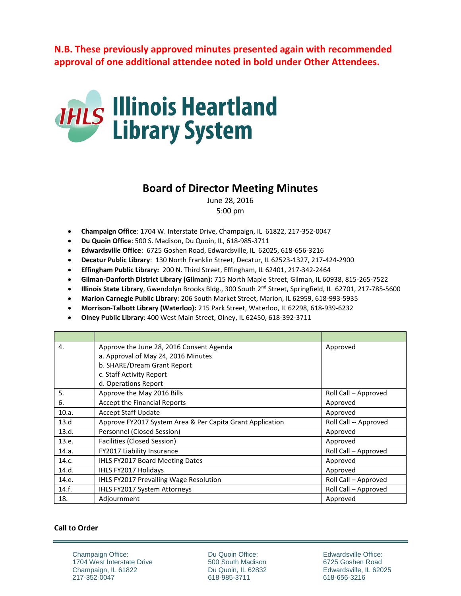**N.B. These previously approved minutes presented again with recommended approval of one additional attendee noted in bold under Other Attendees.** 

# **THLS Illinois Heartland**<br>Library System

# **Board of Director Meeting Minutes**

June 28, 2016

5:00 pm

- **Champaign Office**: 1704 W. Interstate Drive, Champaign, IL 61822, 217-352-0047
- **Du Quoin Office**: 500 S. Madison, Du Quoin, IL, 618-985-3711
- **Edwardsville Office**: 6725 Goshen Road, Edwardsville, IL 62025, 618-656-3216
- **Decatur Public Library**: 130 North Franklin Street, Decatur, IL 62523-1327, 217-424-2900
- **Effingham Public Library:** 200 N. Third Street, Effingham, IL 62401, 217-342-2464
- **Gilman-Danforth District Library (Gilman):** 715 North Maple Street, Gilman, IL 60938, 815-265-7522
- **Illinois State Library**, Gwendolyn Brooks Bldg., 300 South 2<sup>nd</sup> Street, Springfield, IL 62701, 217-785-5600
- **Marion Carnegie Public Library**: 206 South Market Street, Marion, IL 62959, 618-993-5935
- **Morrison-Talbott Library (Waterloo):** 215 Park Street, Waterloo, IL 62298, 618-939-6232
- **Olney Public Library**: 400 West Main Street, Olney, IL 62450, 618-392-3711

| 4.    | Approve the June 28, 2016 Consent Agenda                  | Approved              |
|-------|-----------------------------------------------------------|-----------------------|
|       | a. Approval of May 24, 2016 Minutes                       |                       |
|       | b. SHARE/Dream Grant Report                               |                       |
|       | c. Staff Activity Report                                  |                       |
|       | d. Operations Report                                      |                       |
| 5.    | Approve the May 2016 Bills                                | Roll Call - Approved  |
| 6.    | Accept the Financial Reports                              | Approved              |
| 10.a. | <b>Accept Staff Update</b>                                | Approved              |
| 13.d  | Approve FY2017 System Area & Per Capita Grant Application | Roll Call -- Approved |
| 13.d. | Personnel (Closed Session)                                | Approved              |
| 13.e. | Facilities (Closed Session)                               | Approved              |
| 14.a. | FY2017 Liability Insurance                                | Roll Call - Approved  |
| 14.c. | IHLS FY2017 Board Meeting Dates                           | Approved              |
| 14.d. | IHLS FY2017 Holidays                                      | Approved              |
| 14.e. | IHLS FY2017 Prevailing Wage Resolution                    | Roll Call - Approved  |
| 14.f. | IHLS FY2017 System Attorneys                              | Roll Call - Approved  |
| 18.   | Adjournment                                               | Approved              |

# **Call to Order**

Champaign Office: 1704 West Interstate Drive Champaign, IL 61822 217-352-0047

Du Quoin Office: 500 South Madison Du Quoin, IL 62832 618-985-3711

Edwardsville Office: 6725 Goshen Road Edwardsville, IL 62025 618-656-3216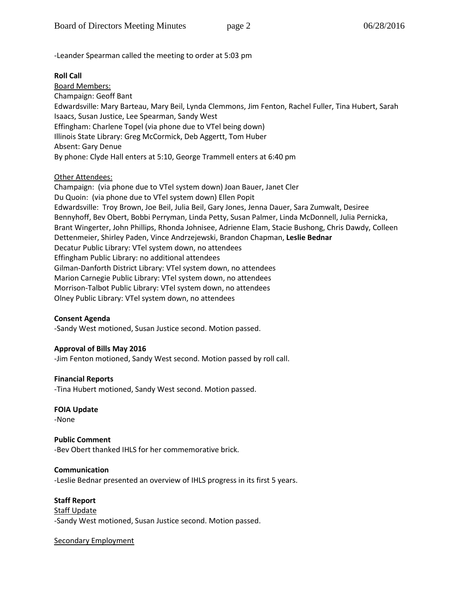-Leander Spearman called the meeting to order at 5:03 pm

# **Roll Call**

Board Members: Champaign: Geoff Bant Edwardsville: Mary Barteau, Mary Beil, Lynda Clemmons, Jim Fenton, Rachel Fuller, Tina Hubert, Sarah Isaacs, Susan Justice, Lee Spearman, Sandy West Effingham: Charlene Topel (via phone due to VTel being down) Illinois State Library: Greg McCormick, Deb Aggertt, Tom Huber Absent: Gary Denue By phone: Clyde Hall enters at 5:10, George Trammell enters at 6:40 pm

# Other Attendees:

Champaign: (via phone due to VTel system down) Joan Bauer, Janet Cler Du Quoin: (via phone due to VTel system down) Ellen Popit Edwardsville: Troy Brown, Joe Beil, Julia Beil, Gary Jones, Jenna Dauer, Sara Zumwalt, Desiree Bennyhoff, Bev Obert, Bobbi Perryman, Linda Petty, Susan Palmer, Linda McDonnell, Julia Pernicka, Brant Wingerter, John Phillips, Rhonda Johnisee, Adrienne Elam, Stacie Bushong, Chris Dawdy, Colleen Dettenmeier, Shirley Paden, Vince Andrzejewski, Brandon Chapman, **Leslie Bednar** Decatur Public Library: VTel system down, no attendees Effingham Public Library: no additional attendees Gilman-Danforth District Library: VTel system down, no attendees Marion Carnegie Public Library: VTel system down, no attendees Morrison-Talbot Public Library: VTel system down, no attendees Olney Public Library: VTel system down, no attendees

# **Consent Agenda**

-Sandy West motioned, Susan Justice second. Motion passed.

# **Approval of Bills May 2016**

-Jim Fenton motioned, Sandy West second. Motion passed by roll call.

# **Financial Reports**

-Tina Hubert motioned, Sandy West second. Motion passed.

# **FOIA Update**

-None

# **Public Comment**

-Bev Obert thanked IHLS for her commemorative brick.

# **Communication**

-Leslie Bednar presented an overview of IHLS progress in its first 5 years.

### **Staff Report**  Staff Update -Sandy West motioned, Susan Justice second. Motion passed.

# Secondary Employment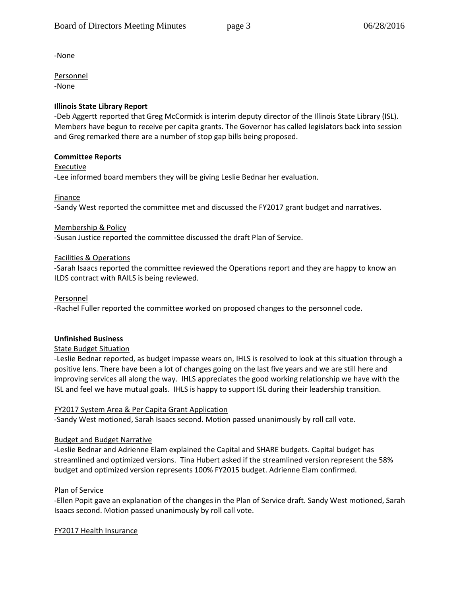-None

Personnel -None

# **Illinois State Library Report**

-Deb Aggertt reported that Greg McCormick is interim deputy director of the Illinois State Library (ISL). Members have begun to receive per capita grants. The Governor has called legislators back into session and Greg remarked there are a number of stop gap bills being proposed.

# **Committee Reports**

# Executive

-Lee informed board members they will be giving Leslie Bednar her evaluation.

**Finance** 

-Sandy West reported the committee met and discussed the FY2017 grant budget and narratives.

# Membership & Policy

-Susan Justice reported the committee discussed the draft Plan of Service.

# Facilities & Operations

-Sarah Isaacs reported the committee reviewed the Operations report and they are happy to know an ILDS contract with RAILS is being reviewed.

# Personnel

-Rachel Fuller reported the committee worked on proposed changes to the personnel code.

# **Unfinished Business**

# State Budget Situation

-Leslie Bednar reported, as budget impasse wears on, IHLS is resolved to look at this situation through a positive lens. There have been a lot of changes going on the last five years and we are still here and improving services all along the way. IHLS appreciates the good working relationship we have with the ISL and feel we have mutual goals. IHLS is happy to support ISL during their leadership transition.

# FY2017 System Area & Per Capita Grant Application

-Sandy West motioned, Sarah Isaacs second. Motion passed unanimously by roll call vote.

# Budget and Budget Narrative

**-**Leslie Bednar and Adrienne Elam explained the Capital and SHARE budgets. Capital budget has streamlined and optimized versions. Tina Hubert asked if the streamlined version represent the 58% budget and optimized version represents 100% FY2015 budget. Adrienne Elam confirmed.

# Plan of Service

-Ellen Popit gave an explanation of the changes in the Plan of Service draft. Sandy West motioned, Sarah Isaacs second. Motion passed unanimously by roll call vote.

# FY2017 Health Insurance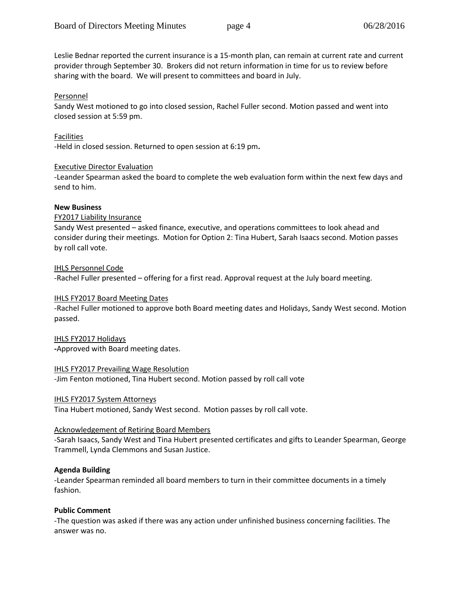Leslie Bednar reported the current insurance is a 15-month plan, can remain at current rate and current provider through September 30. Brokers did not return information in time for us to review before sharing with the board. We will present to committees and board in July.

# Personnel

Sandy West motioned to go into closed session, Rachel Fuller second. Motion passed and went into closed session at 5:59 pm.

# Facilities

-Held in closed session. Returned to open session at 6:19 pm**.** 

# Executive Director Evaluation

-Leander Spearman asked the board to complete the web evaluation form within the next few days and send to him.

# **New Business**

# FY2017 Liability Insurance

Sandy West presented – asked finance, executive, and operations committees to look ahead and consider during their meetings. Motion for Option 2: Tina Hubert, Sarah Isaacs second. Motion passes by roll call vote.

# IHLS Personnel Code

-Rachel Fuller presented – offering for a first read. Approval request at the July board meeting.

# IHLS FY2017 Board Meeting Dates

-Rachel Fuller motioned to approve both Board meeting dates and Holidays, Sandy West second. Motion passed.

# IHLS FY2017 Holidays **-**Approved with Board meeting dates.

IHLS FY2017 Prevailing Wage Resolution

-Jim Fenton motioned, Tina Hubert second. Motion passed by roll call vote

# IHLS FY2017 System Attorneys

Tina Hubert motioned, Sandy West second. Motion passes by roll call vote.

# Acknowledgement of Retiring Board Members

-Sarah Isaacs, Sandy West and Tina Hubert presented certificates and gifts to Leander Spearman, George Trammell, Lynda Clemmons and Susan Justice.

# **Agenda Building**

-Leander Spearman reminded all board members to turn in their committee documents in a timely fashion.

# **Public Comment**

-The question was asked if there was any action under unfinished business concerning facilities. The answer was no.